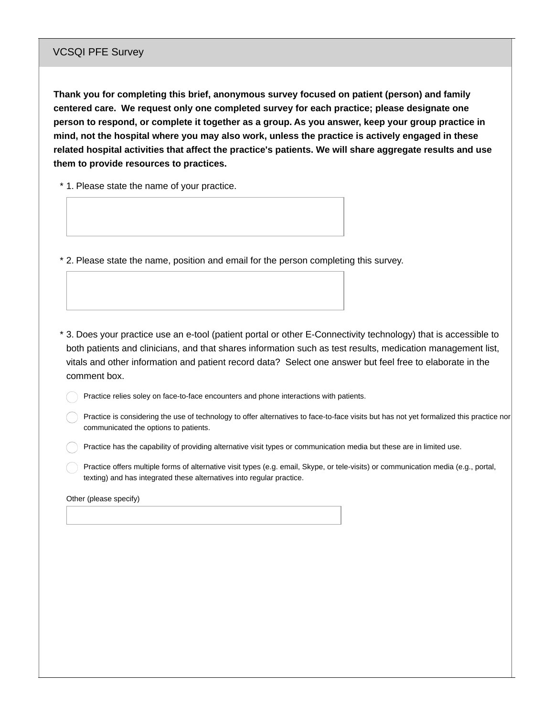## VCSQI PFE Survey

**Thank you for completing this brief, anonymous survey focused on patient (person) and family centered care. We request only one completed survey for each practice; please designate one person to respond, or complete it together as a group. As you answer, keep your group practice in mind, not the hospital where you may also work, unless the practice is actively engaged in these related hospital activities that affect the practice's patients. We will share aggregate results and use them to provide resources to practices.**

\* 1. Please state the name of your practice.

\* 2. Please state the name, position and email for the person completing this survey.

3. Does your practice use an e-tool (patient portal or other E-Connectivity technology) that is accessible to \* both patients and clinicians, and that shares information such as test results, medication management list, vitals and other information and patient record data? Select one answer but feel free to elaborate in the comment box.

Practice relies soley on face-to-face encounters and phone interactions with patients.

Practice is considering the use of technology to offer alternatives to face-to-face visits but has not yet formalized this practice nor communicated the options to patients.

Practice has the capability of providing alternative visit types or communication media but these are in limited use.

Practice offers multiple forms of alternative visit types (e.g. email, Skype, or tele-visits) or communication media (e.g., portal, texting) and has integrated these alternatives into regular practice.

Other (please specify)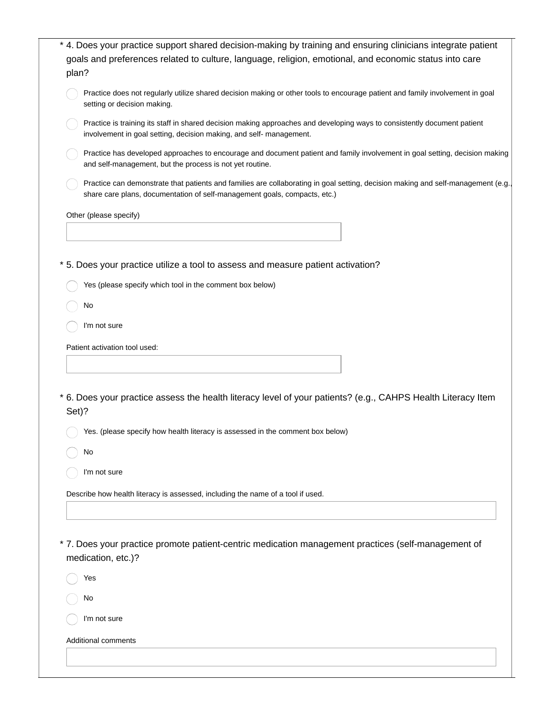| * 4. Does your practice support shared decision-making by training and ensuring clinicians integrate patient<br>goals and preferences related to culture, language, religion, emotional, and economic status into care<br>plan? |
|---------------------------------------------------------------------------------------------------------------------------------------------------------------------------------------------------------------------------------|
| Practice does not regularly utilize shared decision making or other tools to encourage patient and family involvement in goal<br>setting or decision making.                                                                    |
| Practice is training its staff in shared decision making approaches and developing ways to consistently document patient<br>involvement in goal setting, decision making, and self- management.                                 |
| Practice has developed approaches to encourage and document patient and family involvement in goal setting, decision making<br>and self-management, but the process is not yet routine.                                         |
| Practice can demonstrate that patients and families are collaborating in goal setting, decision making and self-management (e.g.,<br>share care plans, documentation of self-management goals, compacts, etc.)                  |
| Other (please specify)                                                                                                                                                                                                          |
|                                                                                                                                                                                                                                 |
| * 5. Does your practice utilize a tool to assess and measure patient activation?                                                                                                                                                |
| Yes (please specify which tool in the comment box below)                                                                                                                                                                        |
| No                                                                                                                                                                                                                              |
| I'm not sure                                                                                                                                                                                                                    |
|                                                                                                                                                                                                                                 |
| Patient activation tool used:                                                                                                                                                                                                   |
|                                                                                                                                                                                                                                 |
| * 6. Does your practice assess the health literacy level of your patients? (e.g., CAHPS Health Literacy Item<br>Set)?                                                                                                           |
| Yes. (please specify how health literacy is assessed in the comment box below)                                                                                                                                                  |
| No                                                                                                                                                                                                                              |
| I'm not sure                                                                                                                                                                                                                    |
| Describe how health literacy is assessed, including the name of a tool if used.                                                                                                                                                 |
|                                                                                                                                                                                                                                 |
|                                                                                                                                                                                                                                 |
| * 7. Does your practice promote patient-centric medication management practices (self-management of<br>medication, etc.)?                                                                                                       |
| Yes                                                                                                                                                                                                                             |
| No                                                                                                                                                                                                                              |
| I'm not sure                                                                                                                                                                                                                    |
| <b>Additional comments</b>                                                                                                                                                                                                      |
|                                                                                                                                                                                                                                 |
|                                                                                                                                                                                                                                 |